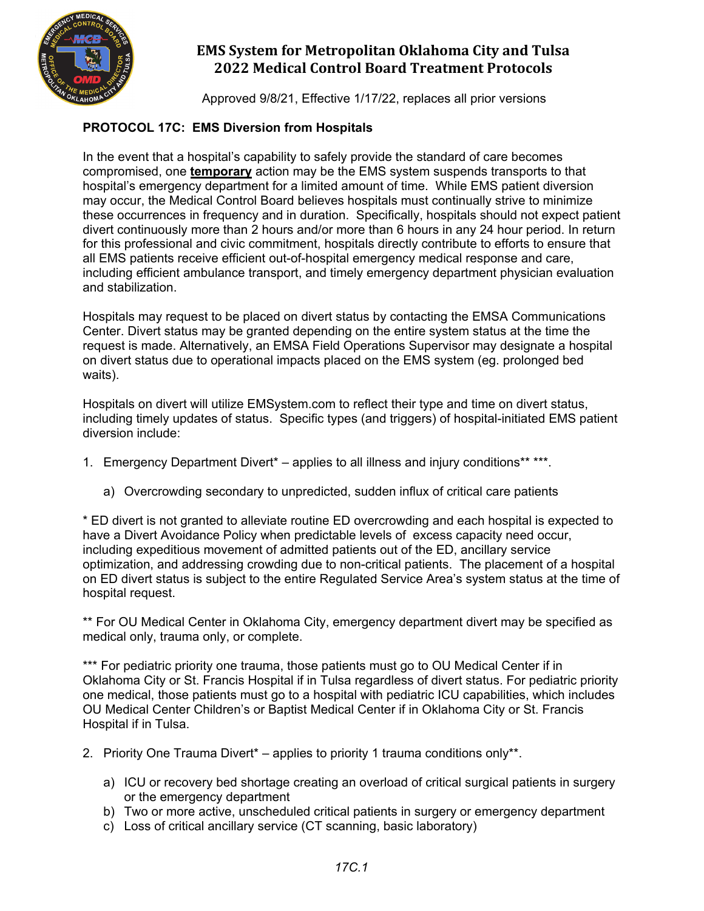

Approved 9/8/21, Effective 1/17/22, replaces all prior versions

### **PROTOCOL 17C: EMS Diversion from Hospitals**

In the event that a hospital's capability to safely provide the standard of care becomes compromised, one **temporary** action may be the EMS system suspends transports to that hospital's emergency department for a limited amount of time. While EMS patient diversion may occur, the Medical Control Board believes hospitals must continually strive to minimize these occurrences in frequency and in duration. Specifically, hospitals should not expect patient divert continuously more than 2 hours and/or more than 6 hours in any 24 hour period. In return for this professional and civic commitment, hospitals directly contribute to efforts to ensure that all EMS patients receive efficient out-of-hospital emergency medical response and care, including efficient ambulance transport, and timely emergency department physician evaluation and stabilization.

Hospitals may request to be placed on divert status by contacting the EMSA Communications Center. Divert status may be granted depending on the entire system status at the time the request is made. Alternatively, an EMSA Field Operations Supervisor may designate a hospital on divert status due to operational impacts placed on the EMS system (eg. prolonged bed waits).

Hospitals on divert will utilize EMSystem.com to reflect their type and time on divert status, including timely updates of status. Specific types (and triggers) of hospital-initiated EMS patient diversion include:

- 1. Emergency Department Divert<sup>\*</sup> applies to all illness and injury conditions\*\* \*\*\*.
	- a) Overcrowding secondary to unpredicted, sudden influx of critical care patients

\* ED divert is not granted to alleviate routine ED overcrowding and each hospital is expected to have a Divert Avoidance Policy when predictable levels of excess capacity need occur, including expeditious movement of admitted patients out of the ED, ancillary service optimization, and addressing crowding due to non-critical patients. The placement of a hospital on ED divert status is subject to the entire Regulated Service Area's system status at the time of hospital request.

\*\* For OU Medical Center in Oklahoma City, emergency department divert may be specified as medical only, trauma only, or complete.

\*\*\* For pediatric priority one trauma, those patients must go to OU Medical Center if in Oklahoma City or St. Francis Hospital if in Tulsa regardless of divert status. For pediatric priority one medical, those patients must go to a hospital with pediatric ICU capabilities, which includes OU Medical Center Children's or Baptist Medical Center if in Oklahoma City or St. Francis Hospital if in Tulsa.

- 2. Priority One Trauma Divert<sup>\*</sup> applies to priority 1 trauma conditions only\*\*.
	- a) ICU or recovery bed shortage creating an overload of critical surgical patients in surgery or the emergency department
	- b) Two or more active, unscheduled critical patients in surgery or emergency department
	- c) Loss of critical ancillary service (CT scanning, basic laboratory)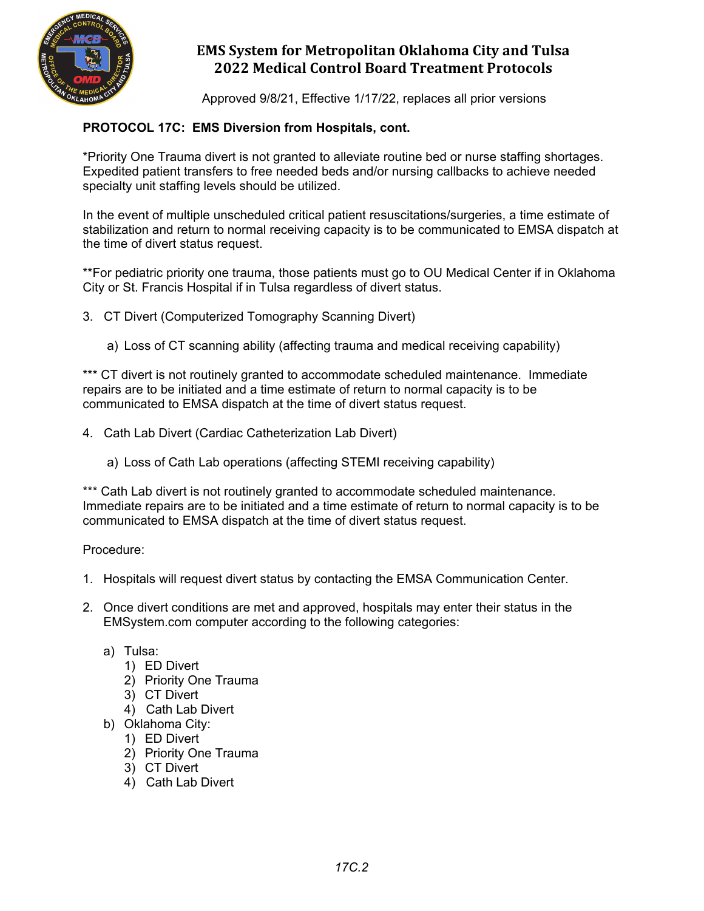

Approved 9/8/21, Effective 1/17/22, replaces all prior versions

### **PROTOCOL 17C: EMS Diversion from Hospitals, cont.**

\*Priority One Trauma divert is not granted to alleviate routine bed or nurse staffing shortages. Expedited patient transfers to free needed beds and/or nursing callbacks to achieve needed specialty unit staffing levels should be utilized.

In the event of multiple unscheduled critical patient resuscitations/surgeries, a time estimate of stabilization and return to normal receiving capacity is to be communicated to EMSA dispatch at the time of divert status request.

\*\*For pediatric priority one trauma, those patients must go to OU Medical Center if in Oklahoma City or St. Francis Hospital if in Tulsa regardless of divert status.

3. CT Divert (Computerized Tomography Scanning Divert)

a) Loss of CT scanning ability (affecting trauma and medical receiving capability)

\*\*\* CT divert is not routinely granted to accommodate scheduled maintenance. Immediate repairs are to be initiated and a time estimate of return to normal capacity is to be communicated to EMSA dispatch at the time of divert status request.

- 4. Cath Lab Divert (Cardiac Catheterization Lab Divert)
	- a) Loss of Cath Lab operations (affecting STEMI receiving capability)

\*\*\* Cath Lab divert is not routinely granted to accommodate scheduled maintenance. Immediate repairs are to be initiated and a time estimate of return to normal capacity is to be communicated to EMSA dispatch at the time of divert status request.

Procedure:

- 1. Hospitals will request divert status by contacting the EMSA Communication Center.
- 2. Once divert conditions are met and approved, hospitals may enter their status in the EMSystem.com computer according to the following categories:
	- a) Tulsa:
		- 1) ED Divert
		- 2) Priority One Trauma
		- 3) CT Divert
		- 4) Cath Lab Divert
	- b) Oklahoma City:
		- 1) ED Divert
		- 2) Priority One Trauma
		- 3) CT Divert
		- 4) Cath Lab Divert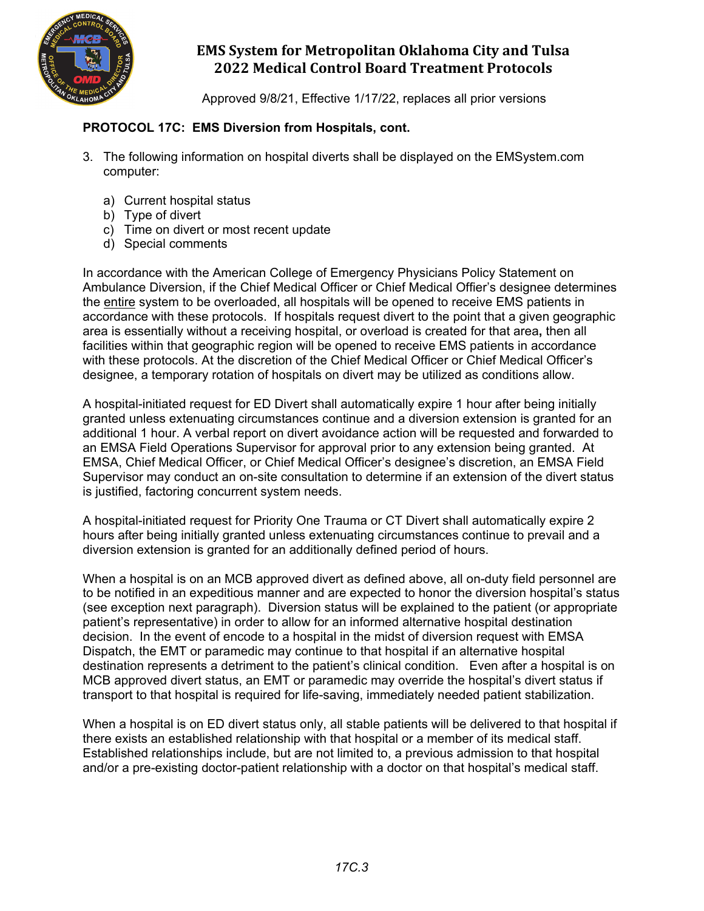

Approved 9/8/21, Effective 1/17/22, replaces all prior versions

#### **PROTOCOL 17C: EMS Diversion from Hospitals, cont.**

- 3. The following information on hospital diverts shall be displayed on the EMSystem.com computer:
	- a) Current hospital status
	- b) Type of divert
	- c) Time on divert or most recent update
	- d) Special comments

In accordance with the American College of Emergency Physicians Policy Statement on Ambulance Diversion, if the Chief Medical Officer or Chief Medical Offier's designee determines the entire system to be overloaded, all hospitals will be opened to receive EMS patients in accordance with these protocols. If hospitals request divert to the point that a given geographic area is essentially without a receiving hospital, or overload is created for that area**,** then all facilities within that geographic region will be opened to receive EMS patients in accordance with these protocols. At the discretion of the Chief Medical Officer or Chief Medical Officer's designee, a temporary rotation of hospitals on divert may be utilized as conditions allow.

A hospital-initiated request for ED Divert shall automatically expire 1 hour after being initially granted unless extenuating circumstances continue and a diversion extension is granted for an additional 1 hour. A verbal report on divert avoidance action will be requested and forwarded to an EMSA Field Operations Supervisor for approval prior to any extension being granted. At EMSA, Chief Medical Officer, or Chief Medical Officer's designee's discretion, an EMSA Field Supervisor may conduct an on-site consultation to determine if an extension of the divert status is justified, factoring concurrent system needs.

A hospital-initiated request for Priority One Trauma or CT Divert shall automatically expire 2 hours after being initially granted unless extenuating circumstances continue to prevail and a diversion extension is granted for an additionally defined period of hours.

When a hospital is on an MCB approved divert as defined above, all on-duty field personnel are to be notified in an expeditious manner and are expected to honor the diversion hospital's status (see exception next paragraph). Diversion status will be explained to the patient (or appropriate patient's representative) in order to allow for an informed alternative hospital destination decision. In the event of encode to a hospital in the midst of diversion request with EMSA Dispatch, the EMT or paramedic may continue to that hospital if an alternative hospital destination represents a detriment to the patient's clinical condition. Even after a hospital is on MCB approved divert status, an EMT or paramedic may override the hospital's divert status if transport to that hospital is required for life-saving, immediately needed patient stabilization.

When a hospital is on ED divert status only, all stable patients will be delivered to that hospital if there exists an established relationship with that hospital or a member of its medical staff. Established relationships include, but are not limited to, a previous admission to that hospital and/or a pre-existing doctor-patient relationship with a doctor on that hospital's medical staff.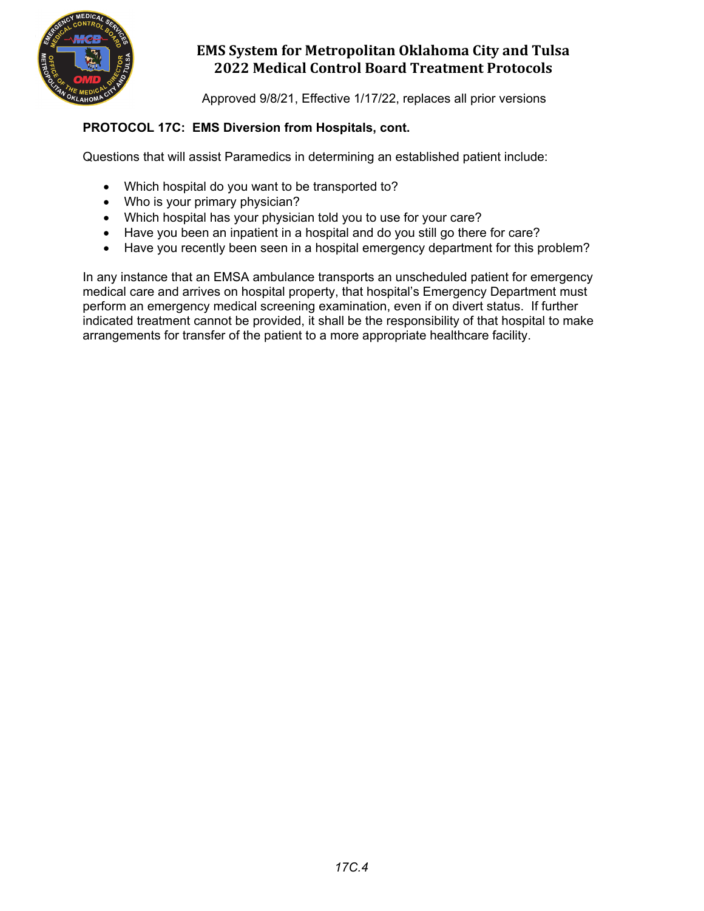

Approved 9/8/21, Effective 1/17/22, replaces all prior versions

### **PROTOCOL 17C: EMS Diversion from Hospitals, cont.**

Questions that will assist Paramedics in determining an established patient include:

- Which hospital do you want to be transported to?
- Who is your primary physician?
- Which hospital has your physician told you to use for your care?
- Have you been an inpatient in a hospital and do you still go there for care?
- Have you recently been seen in a hospital emergency department for this problem?

In any instance that an EMSA ambulance transports an unscheduled patient for emergency medical care and arrives on hospital property, that hospital's Emergency Department must perform an emergency medical screening examination, even if on divert status. If further indicated treatment cannot be provided, it shall be the responsibility of that hospital to make arrangements for transfer of the patient to a more appropriate healthcare facility.